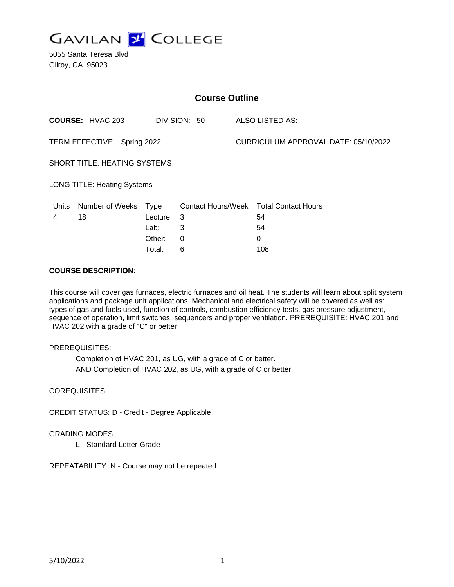

5055 Santa Teresa Blvd Gilroy, CA 95023

| <b>Course Outline</b>               |                         |          |              |                                      |                                        |
|-------------------------------------|-------------------------|----------|--------------|--------------------------------------|----------------------------------------|
|                                     | <b>COURSE: HVAC 203</b> |          | DIVISION: 50 |                                      | <b>ALSO LISTED AS:</b>                 |
| TERM EFFECTIVE: Spring 2022         |                         |          |              | CURRICULUM APPROVAL DATE: 05/10/2022 |                                        |
| <b>SHORT TITLE: HEATING SYSTEMS</b> |                         |          |              |                                      |                                        |
| <b>LONG TITLE: Heating Systems</b>  |                         |          |              |                                      |                                        |
| Units                               | Number of Weeks Type    |          |              |                                      | Contact Hours/Week Total Contact Hours |
| 4                                   | 18                      | Lecture: | -3           |                                      | 54                                     |
|                                     |                         | Lab:     | 3            |                                      | 54                                     |
|                                     |                         | Other:   | $\Omega$     |                                      | 0                                      |
|                                     |                         | Total:   | 6            |                                      | 108                                    |

#### **COURSE DESCRIPTION:**

This course will cover gas furnaces, electric furnaces and oil heat. The students will learn about split system applications and package unit applications. Mechanical and electrical safety will be covered as well as: types of gas and fuels used, function of controls, combustion efficiency tests, gas pressure adjustment, sequence of operation, limit switches, sequencers and proper ventilation. PREREQUISITE: HVAC 201 and HVAC 202 with a grade of "C" or better.

## PREREQUISITES:

Completion of HVAC 201, as UG, with a grade of C or better. AND Completion of HVAC 202, as UG, with a grade of C or better.

## COREQUISITES:

CREDIT STATUS: D - Credit - Degree Applicable

#### GRADING MODES

L - Standard Letter Grade

REPEATABILITY: N - Course may not be repeated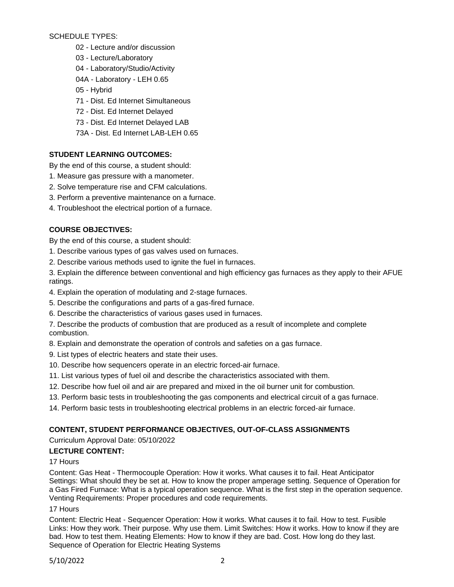## SCHEDULE TYPES:

- 02 Lecture and/or discussion
- 03 Lecture/Laboratory
- 04 Laboratory/Studio/Activity
- 04A Laboratory LEH 0.65
- 05 Hybrid
- 71 Dist. Ed Internet Simultaneous
- 72 Dist. Ed Internet Delayed
- 73 Dist. Ed Internet Delayed LAB
- 73A Dist. Ed Internet LAB-LEH 0.65

# **STUDENT LEARNING OUTCOMES:**

By the end of this course, a student should:

- 1. Measure gas pressure with a manometer.
- 2. Solve temperature rise and CFM calculations.
- 3. Perform a preventive maintenance on a furnace.
- 4. Troubleshoot the electrical portion of a furnace.

# **COURSE OBJECTIVES:**

By the end of this course, a student should:

- 1. Describe various types of gas valves used on furnaces.
- 2. Describe various methods used to ignite the fuel in furnaces.
- 3. Explain the difference between conventional and high efficiency gas furnaces as they apply to their AFUE ratings.
- 4. Explain the operation of modulating and 2-stage furnaces.
- 5. Describe the configurations and parts of a gas-fired furnace.
- 6. Describe the characteristics of various gases used in furnaces.
- 7. Describe the products of combustion that are produced as a result of incomplete and complete combustion.
- 8. Explain and demonstrate the operation of controls and safeties on a gas furnace.
- 9. List types of electric heaters and state their uses.
- 10. Describe how sequencers operate in an electric forced-air furnace.
- 11. List various types of fuel oil and describe the characteristics associated with them.
- 12. Describe how fuel oil and air are prepared and mixed in the oil burner unit for combustion.
- 13. Perform basic tests in troubleshooting the gas components and electrical circuit of a gas furnace.
- 14. Perform basic tests in troubleshooting electrical problems in an electric forced-air furnace.

# **CONTENT, STUDENT PERFORMANCE OBJECTIVES, OUT-OF-CLASS ASSIGNMENTS**

Curriculum Approval Date: 05/10/2022

# **LECTURE CONTENT:**

## 17 Hours

Content: Gas Heat - Thermocouple Operation: How it works. What causes it to fail. Heat Anticipator Settings: What should they be set at. How to know the proper amperage setting. Sequence of Operation for a Gas Fired Furnace: What is a typical operation sequence. What is the first step in the operation sequence. Venting Requirements: Proper procedures and code requirements.

## 17 Hours

Content: Electric Heat - Sequencer Operation: How it works. What causes it to fail. How to test. Fusible Links: How they work. Their purpose. Why use them. Limit Switches: How it works. How to know if they are bad. How to test them. Heating Elements: How to know if they are bad. Cost. How long do they last. Sequence of Operation for Electric Heating Systems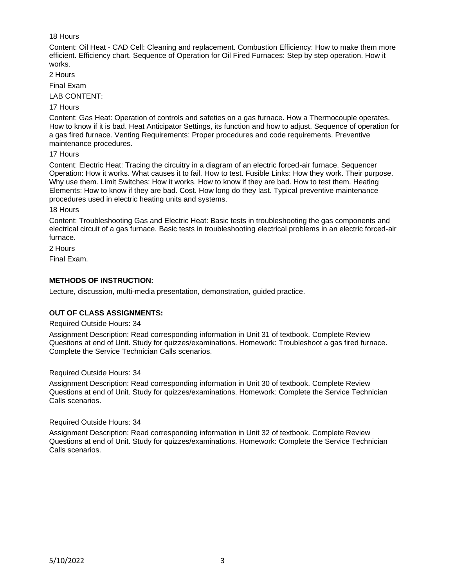## 18 Hours

Content: Oil Heat - CAD Cell: Cleaning and replacement. Combustion Efficiency: How to make them more efficient. Efficiency chart. Sequence of Operation for Oil Fired Furnaces: Step by step operation. How it works.

2 Hours

Final Exam

LAB CONTENT:

#### 17 Hours

Content: Gas Heat: Operation of controls and safeties on a gas furnace. How a Thermocouple operates. How to know if it is bad. Heat Anticipator Settings, its function and how to adjust. Sequence of operation for a gas fired furnace. Venting Requirements: Proper procedures and code requirements. Preventive maintenance procedures.

17 Hours

Content: Electric Heat: Tracing the circuitry in a diagram of an electric forced-air furnace. Sequencer Operation: How it works. What causes it to fail. How to test. Fusible Links: How they work. Their purpose. Why use them. Limit Switches: How it works. How to know if they are bad. How to test them. Heating Elements: How to know if they are bad. Cost. How long do they last. Typical preventive maintenance procedures used in electric heating units and systems.

18 Hours

Content: Troubleshooting Gas and Electric Heat: Basic tests in troubleshooting the gas components and electrical circuit of a gas furnace. Basic tests in troubleshooting electrical problems in an electric forced-air furnace.

2 Hours

Final Exam.

## **METHODS OF INSTRUCTION:**

Lecture, discussion, multi-media presentation, demonstration, guided practice.

## **OUT OF CLASS ASSIGNMENTS:**

#### Required Outside Hours: 34

Assignment Description: Read corresponding information in Unit 31 of textbook. Complete Review Questions at end of Unit. Study for quizzes/examinations. Homework: Troubleshoot a gas fired furnace. Complete the Service Technician Calls scenarios.

## Required Outside Hours: 34

Assignment Description: Read corresponding information in Unit 30 of textbook. Complete Review Questions at end of Unit. Study for quizzes/examinations. Homework: Complete the Service Technician Calls scenarios.

#### Required Outside Hours: 34

Assignment Description: Read corresponding information in Unit 32 of textbook. Complete Review Questions at end of Unit. Study for quizzes/examinations. Homework: Complete the Service Technician Calls scenarios.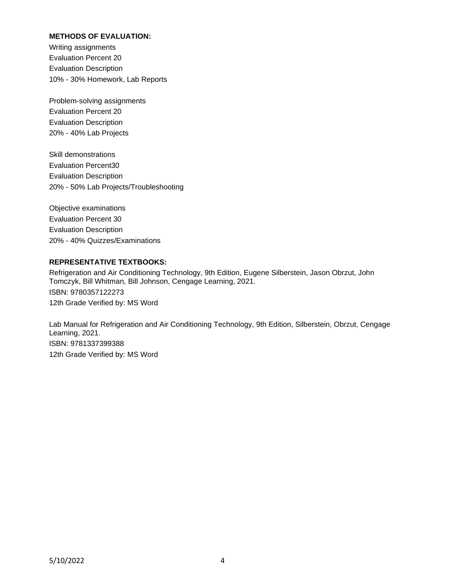## **METHODS OF EVALUATION:**

Writing assignments Evaluation Percent 20 Evaluation Description 10% - 30% Homework, Lab Reports

Problem-solving assignments Evaluation Percent 20 Evaluation Description 20% - 40% Lab Projects

Skill demonstrations Evaluation Percent30 Evaluation Description 20% - 50% Lab Projects/Troubleshooting

Objective examinations Evaluation Percent 30 Evaluation Description 20% - 40% Quizzes/Examinations

## **REPRESENTATIVE TEXTBOOKS:**

Refrigeration and Air Conditioning Technology, 9th Edition, Eugene Silberstein, Jason Obrzut, John Tomczyk, Bill Whitman, Bill Johnson, Cengage Learning, 2021. ISBN: 9780357122273 12th Grade Verified by: MS Word

Lab Manual for Refrigeration and Air Conditioning Technology, 9th Edition, Silberstein, Obrzut, Cengage Learning, 2021. ISBN: 9781337399388 12th Grade Verified by: MS Word